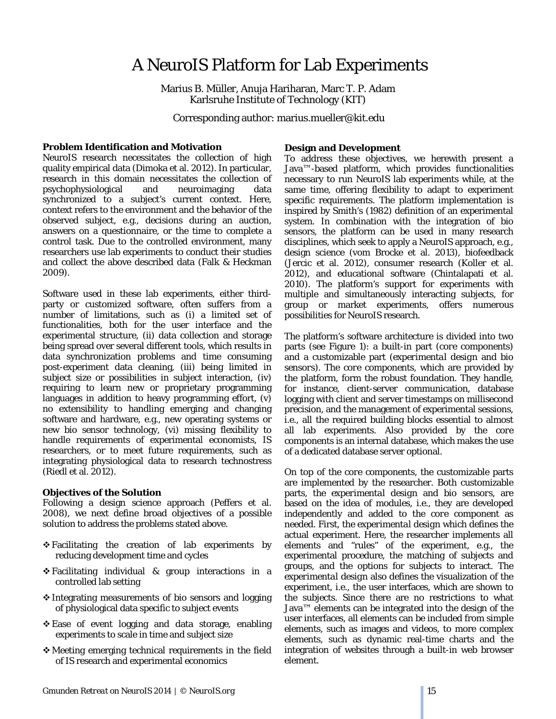# A NeuroIS Platform for Lab Experiments

Marius B. Müller, Anuja Hariharan, Marc T. P. Adam Karlsruhe Institute of Technology (KIT)

Corresponding author: marius.mueller@kit.edu

### **Problem Identification and Motivation**

NeuroIS research necessitates the collection of high quality empirical data (Dimoka et al. 2012). In particular, research in this domain necessitates the collection of psychophysiological and neuroimaging data synchronized to a subject's current context. Here, context refers to the environment and the behavior of the observed subject, e.g., decisions during an auction, answers on a questionnaire, or the time to complete a control task. Due to the controlled environment, many researchers use lab experiments to conduct their studies and collect the above described data (Falk & Heckman 2009).

Software used in these lab experiments, either thirdparty or customized software, often suffers from a number of limitations, such as (i) a limited set of functionalities, both for the user interface and the experimental structure, (ii) data collection and storage being spread over several different tools, which results in data synchronization problems and time consuming post-experiment data cleaning, (iii) being limited in subject size or possibilities in subject interaction, (iv) requiring to learn new or proprietary programming languages in addition to heavy programming effort, (v) no extensibility to handling emerging and changing software and hardware, e.g., new operating systems or new bio sensor technology, (vi) missing flexibility to handle requirements of experimental economists, IS researchers, or to meet future requirements, such as integrating physiological data to research technostress (Riedl et al. 2012).

### **Objectives of the Solution**

Following a design science approach (Peffers et al. 2008), we next define broad objectives of a possible solution to address the problems stated above.

- Facilitating the creation of lab experiments by reducing development time and cycles
- Facilitating individual & group interactions in a controlled lab setting
- $\triangle$  Integrating measurements of bio sensors and logging of physiological data specific to subject events
- Ease of event logging and data storage, enabling experiments to scale in time and subject size
- Meeting emerging technical requirements in the field of IS research and experimental economics

## **Design and Development**

To address these objectives, we herewith present a Java™-based platform, which provides functionalities necessary to run NeuroIS lab experiments while, at the same time, offering flexibility to adapt to experiment specific requirements. The platform implementation is inspired by Smith's (1982) definition of an experimental system. In combination with the integration of bio sensors, the platform can be used in many research disciplines, which seek to apply a NeuroIS approach, e.g., design science (vom Brocke et al. 2013), biofeedback (Jercic et al. 2012), consumer research (Koller et al. 2012), and educational software (Chintalapati et al. 2010). The platform's support for experiments with multiple and simultaneously interacting subjects, for group or market experiments, offers numerous possibilities for NeuroIS research.

The platform's software architecture is divided into two parts (see Figure 1): a built-in part (*core components*) and a customizable part (*experimental design* and *bio sensors*). The *core components*, which are provided by the platform, form the robust foundation. They handle, for instance, client-server communication, database logging with client and server timestamps on millisecond precision, and the management of experimental sessions, i.e., all the required building blocks essential to almost all lab experiments. Also provided by the *core components* is an internal database, which makes the use of a dedicated database server optional.

On top of the *core components*, the customizable parts are implemented by the researcher. Both customizable parts, the *experimental design* and *bio sensors,* are based on the idea of modules, i.e., they are developed independently and added to the *core component* as needed. First, the *experimental design* which defines the actual experiment. Here, the researcher implements all elements and "rules" of the experiment, e.g., the experimental procedure, the matching of subjects and groups, and the options for subjects to interact. The *experimental design* also defines the visualization of the experiment, i.e., the user interfaces, which are shown to the subjects. Since there are no restrictions to what Java™ elements can be integrated into the design of the user interfaces, all elements can be included from simple elements, such as images and videos, to more complex elements, such as dynamic real-time charts and the integration of websites through a built-in web browser element.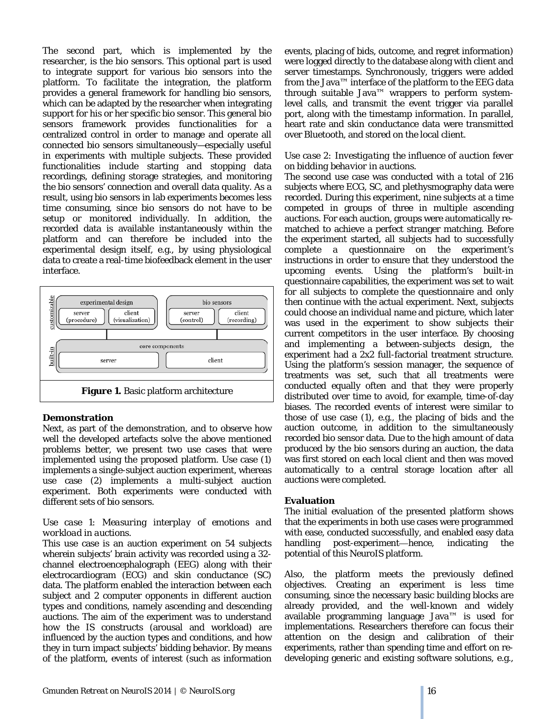The second part, which is implemented by the researcher, is the *bio sensors*. This optional part is used to integrate support for various bio sensors into the platform. To facilitate the integration, the platform provides a general framework for handling bio sensors, which can be adapted by the researcher when integrating support for his or her specific bio sensor. This general bio sensors framework provides functionalities for a centralized control in order to manage and operate all connected bio sensors simultaneously—especially useful in experiments with multiple subjects. These provided functionalities include starting and stopping data recordings, defining storage strategies, and monitoring the bio sensors' connection and overall data quality. As a result, using bio sensors in lab experiments becomes less time consuming, since bio sensors do not have to be setup or monitored individually. In addition, the recorded data is available instantaneously within the platform and can therefore be included into the experimental design itself, e.g., by using physiological data to create a real-time biofeedback element in the user interface.



### **Demonstration**

Next, as part of the demonstration, and to observe how well the developed artefacts solve the above mentioned problems better, we present two use cases that were implemented using the proposed platform. Use case (1) implements a single-subject auction experiment, whereas use case (2) implements a multi-subject auction experiment. Both experiments were conducted with different sets of bio sensors.

### *Use case 1: Measuring interplay of emotions and workload in auctions.*

This use case is an auction experiment on 54 subjects wherein subjects' brain activity was recorded using a 32 channel electroencephalograph (EEG) along with their electrocardiogram (ECG) and skin conductance (SC) data. The platform enabled the interaction between each subject and 2 computer opponents in different auction types and conditions, namely ascending and descending auctions. The aim of the experiment was to understand how the IS constructs (arousal and workload) are influenced by the auction types and conditions, and how they in turn impact subjects' bidding behavior. By means of the platform, events of interest (such as information events, placing of bids, outcome, and regret information) were logged directly to the database along with client and server timestamps. Synchronously, triggers were added from the Java™ interface of the platform to the EEG data through suitable Java<sup> $m$ </sup> wrappers to perform systemlevel calls, and transmit the event trigger via parallel port, along with the timestamp information. In parallel, heart rate and skin conductance data were transmitted over Bluetooth, and stored on the local client.

### *Use case 2: Investigating the influence of auction fever on bidding behavior in auctions.*

The second use case was conducted with a total of 216 subjects where ECG, SC, and plethysmography data were recorded. During this experiment, nine subjects at a time competed in groups of three in multiple ascending auctions. For each auction, groups were automatically rematched to achieve a perfect stranger matching. Before the experiment started, all subjects had to successfully complete a questionnaire on the experiment's instructions in order to ensure that they understood the upcoming events. Using the platform's built-in questionnaire capabilities, the experiment was set to wait for all subjects to complete the questionnaire and only then continue with the actual experiment. Next, subjects could choose an individual name and picture, which later was used in the experiment to show subjects their current competitors in the user interface. By choosing and implementing a between-subjects design, the experiment had a 2x2 full-factorial treatment structure. Using the platform's session manager, the sequence of treatments was set, such that all treatments were conducted equally often and that they were properly distributed over time to avoid, for example, time-of-day biases. The recorded events of interest were similar to those of use case (1), e.g., the placing of bids and the auction outcome, in addition to the simultaneously recorded bio sensor data. Due to the high amount of data produced by the bio sensors during an auction, the data was first stored on each local client and then was moved automatically to a central storage location after all auctions were completed.

### **Evaluation**

The initial evaluation of the presented platform shows that the experiments in both use cases were programmed with ease, conducted successfully, and enabled easy data handling post-experiment—hence, indicating the potential of this NeuroIS platform.

Also, the platform meets the previously defined objectives. Creating an experiment is less time consuming, since the necessary basic building blocks are already provided, and the well-known and widely available programming language Java™ is used for implementations. Researchers therefore can focus their attention on the design and calibration of their experiments, rather than spending time and effort on redeveloping generic and existing software solutions, e.g.,